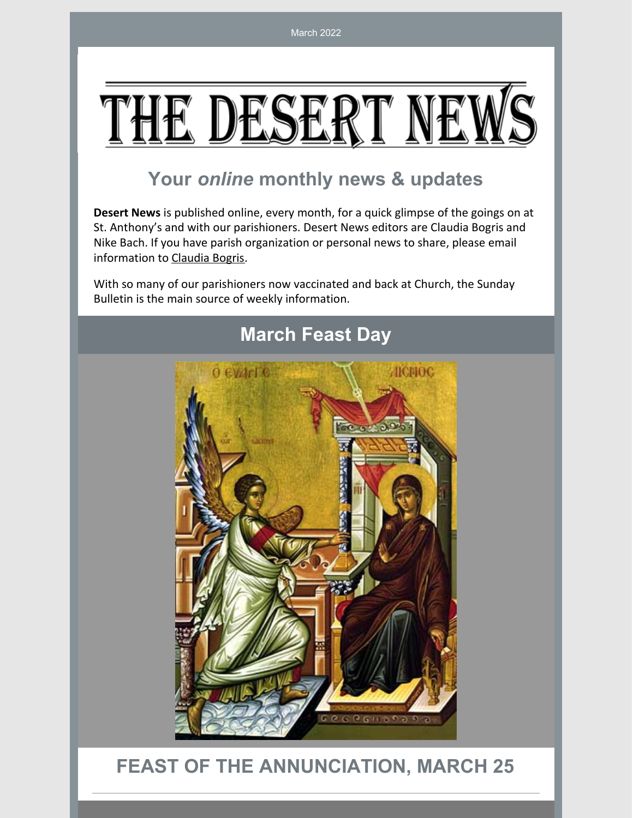# (E DES)

# **Your** *online* **monthly news & updates**

**Desert News** is published online, every month, for a quick glimpse of the goings on at St. Anthony's and with our parishioners. Desert News editors are Claudia Bogris and Nike Bach. If you have parish organization or personal news to share, please email information to [Claudia](mailto:cbogris@aol.com) Bogris.

With so many of our parishioners now vaccinated and back at Church, the Sunday Bulletin is the main source of weekly information.



# **March Feast Day**

# **FEAST OF THE ANNUNCIATION, MARCH 25**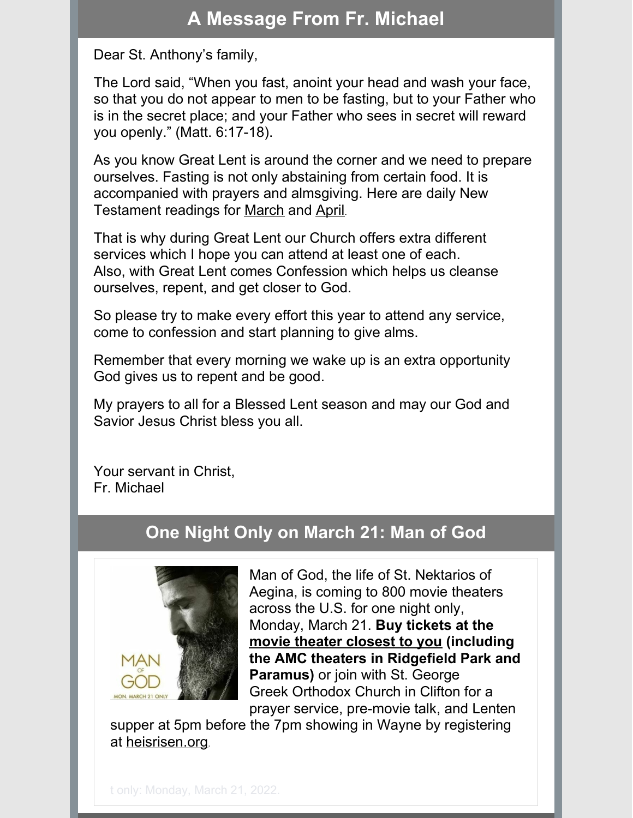# **A Message From Fr. Michael**

Dear St. Anthony's family,

The Lord said, "When you fast, anoint your head and wash your face, so that you do not appear to men to be fasting, but to your Father who is in the secret place; and your Father who sees in secret will reward you openly." (Matt. 6:17-18).

As you know Great Lent is around the corner and we need to prepare ourselves. Fasting is not only abstaining from certain food. It is accompanied with prayers and almsgiving. Here are daily New Testament readings for [March](https://files.constantcontact.com/e603b90b001/ae057905-795d-4bf1-a429-cd8517444194.pdf) and [April](https://files.constantcontact.com/e603b90b001/f6d94b49-3ea2-485b-88ce-06ecb1f708c2.pdf).

That is why during Great Lent our Church offers extra different services which I hope you can attend at least one of each. Also, with Great Lent comes Confession which helps us cleanse ourselves, repent, and get closer to God.

So please try to make every effort this year to attend any service, come to confession and start planning to give alms.

Remember that every morning we wake up is an extra opportunity God gives us to repent and be good.

My prayers to all for a Blessed Lent season and may our God and Savior Jesus Christ bless you all.

Your servant in Christ, Fr. Michael

## **One Night Only on March 21: Man of God**



Man of God, the life of St. Nektarios of Aegina, is coming to 800 movie theaters across the U.S. for one night only, Monday, March 21. **Buy tickets at the movie theater [closest](https://www.fathomevents.com/events/Man-of-God) to you (including the AMC theaters in Ridgefield Park and Paramus)** or join with St. George Greek Orthodox Church in Clifton for a prayer service, pre-movie talk, and Lenten

supper at 5pm before the 7pm showing in Wayne by registering at [heisrisen.org](http://heisrisen.org/).

t only: Monday, March 21, 2022.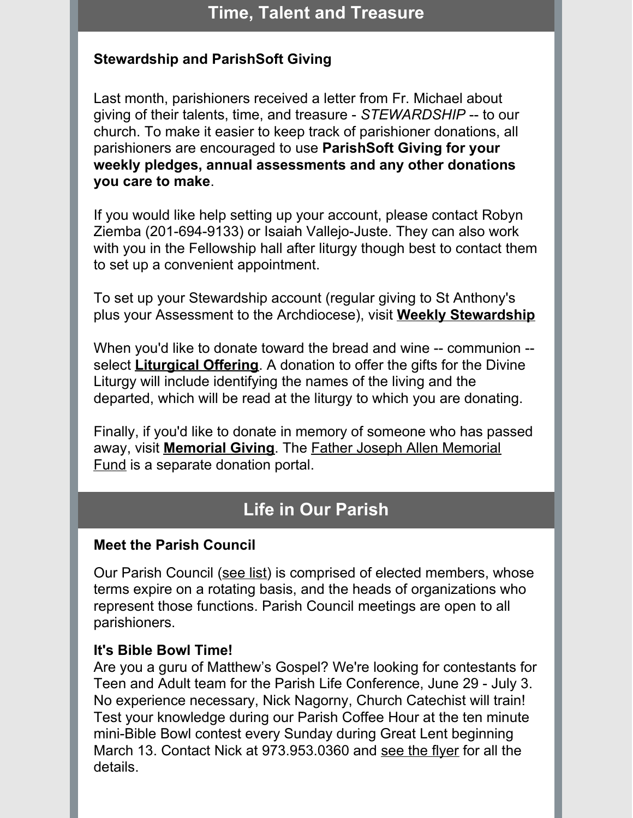## **Time, Talent and Treasure**

## **Stewardship and ParishSoft Giving**

Last month, parishioners received a letter from Fr. Michael about giving of their talents, time, and treasure - *STEWARDSHIP* -- to our church. To make it easier to keep track of parishioner donations, all parishioners are encouraged to use **ParishSoft Giving for your weekly pledges, annual assessments and any other donations you care to make**.

If you would like help setting up your account, please contact Robyn Ziemba (201-694-9133) or Isaiah Vallejo-Juste. They can also work with you in the Fellowship hall after liturgy though best to contact them to set up a convenient appointment.

To set up your Stewardship account (regular giving to St Anthony's plus your Assessment to the Archdiocese), visit **Weekly [Stewardship](https://giving.parishsoft.com/App/Form/192b4921-9549-4d47-8f6b-98f7b54a24ae)**

When you'd like to donate toward the bread and wine -- communion - select **[Liturgical](https://giving.parishsoft.com/App/Form/d40c554a-3db5-48f3-96cd-c69c93ab2225) Offering**. A donation to offer the gifts for the Divine Liturgy will include identifying the names of the living and the departed, which will be read at the liturgy to which you are donating.

Finally, if you'd like to donate in memory of someone who has passed away, visit **[Memorial](https://giving.parishsoft.com/App/Form/27a92c5b-7e6a-46ba-b4ff-a3fbe91fdef7) Giving**. The Father Joseph Allen Memorial Fund is a separate donation portal.

## **Life in Our Parish**

## **Meet the Parish Council**

Our Parish Council ([see](https://files.constantcontact.com/e603b90b001/00ec0195-3c5b-47be-9149-e8f3d5b09ff6.pdf) list) is comprised of elected members, whose terms expire on a rotating basis, and the heads of organizations who represent those functions. Parish Council meetings are open to all parishioners.

#### **It's Bible Bowl Time!**

Are you a guru of Matthew's Gospel? We're looking for contestants for Teen and Adult team for the Parish Life Conference, June 29 - July 3. No experience necessary, Nick Nagorny, Church Catechist will train! Test your knowledge during our Parish Coffee Hour at the ten minute mini-Bible Bowl contest every Sunday during Great Lent beginning March 13. Contact Nick at 973.953.0360 and see the [flyer](https://files.constantcontact.com/e603b90b001/58d5eb02-e94d-4eeb-babc-430bcfa3a272.pdf) for all the details.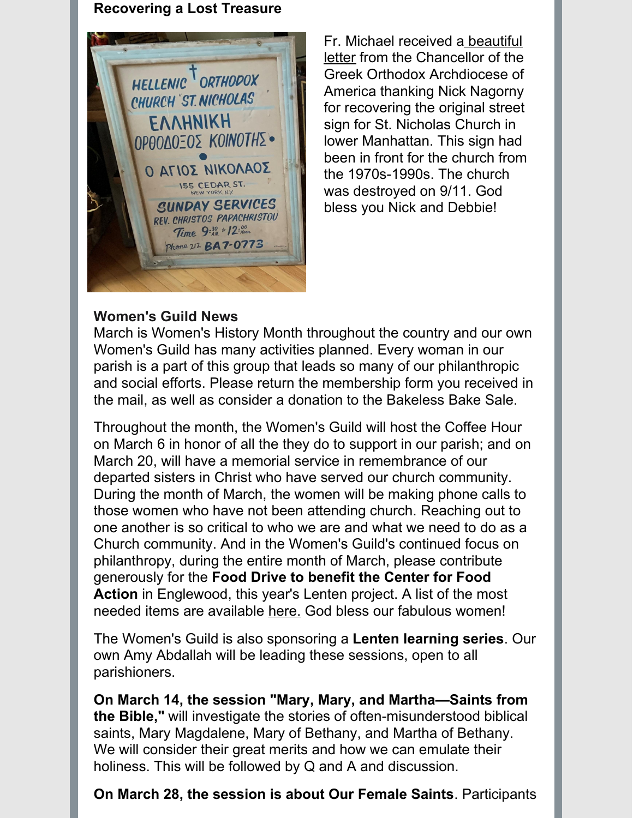#### **Recovering a Lost Treasure**



Fr. Michael received a beautiful letter from the [Chancellor](https://files.constantcontact.com/e603b90b001/7075f9d1-8b5b-4516-81f5-684a0908b7f4.pdf) of the Greek Orthodox Archdiocese of America thanking Nick Nagorny for recovering the original street sign for St. Nicholas Church in lower Manhattan. This sign had been in front for the church from the 1970s-1990s. The church was destroyed on 9/11. God bless you Nick and Debbie!

### **Women's Guild News**

March is Women's History Month throughout the country and our own Women's Guild has many activities planned. Every woman in our parish is a part of this group that leads so many of our philanthropic and social efforts. Please return the membership form you received in the mail, as well as consider a donation to the Bakeless Bake Sale.

Throughout the month, the Women's Guild will host the Coffee Hour on March 6 in honor of all the they do to support in our parish; and on March 20, will have a memorial service in remembrance of our departed sisters in Christ who have served our church community. During the month of March, the women will be making phone calls to those women who have not been attending church. Reaching out to one another is so critical to who we are and what we need to do as a Church community. And in the Women's Guild's continued focus on philanthropy, during the entire month of March, please contribute generously for the **Food Drive to benefit the Center for Food Action** in Englewood, this year's Lenten project. A list of the most needed items are available [here.](https://files.constantcontact.com/e603b90b001/794f1eb2-1508-4063-accb-38bac88079c1.pdf) God bless our fabulous women!

The Women's Guild is also sponsoring a **Lenten learning series**. Our own Amy Abdallah will be leading these sessions, open to all parishioners.

**On March 14, the session "Mary, Mary, and Martha—Saints from the Bible,"** will investigate the stories of often-misunderstood biblical saints, Mary Magdalene, Mary of Bethany, and Martha of Bethany. We will consider their great merits and how we can emulate their holiness. This will be followed by Q and A and discussion.

**On March 28, the session is about Our Female Saints**. Participants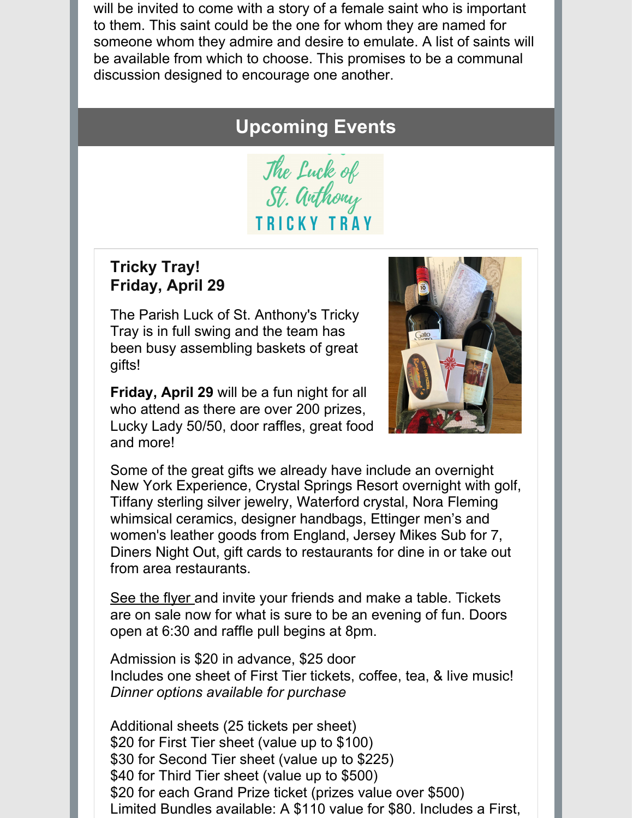will be invited to come with a story of a female saint who is important to them. This saint could be the one for whom they are named for someone whom they admire and desire to emulate. A list of saints will be available from which to choose. This promises to be a communal discussion designed to encourage one another.

# **Upcoming Events**

The Luck of<br>St. Anthony **TRICKY TRAY** 

## **Tricky Tray! Friday, April 29**

The Parish Luck of St. Anthony's Tricky Tray is in full swing and the team has been busy assembling baskets of great gifts!

**Friday, April 29** will be a fun night for all who attend as there are over 200 prizes, Lucky Lady 50/50, door raffles, great food and more!



Some of the great gifts we already have include an overnight New York Experience, Crystal Springs Resort overnight with golf, Tiffany sterling silver jewelry, Waterford crystal, Nora Fleming whimsical ceramics, designer handbags, Ettinger men's and women's leather goods from England, Jersey Mikes Sub for 7, Diners Night Out, gift cards to restaurants for dine in or take out from area restaurants.

[See](https://files.constantcontact.com/e603b90b001/755b7395-ae14-49f6-baa7-665306be2fbb.pdf) the [flyer](https://files.constantcontact.com/e603b90b001/9c6d9c97-aaee-4257-8f59-508d4c0a706e.pdf) and invite your friends and make a table. Tickets are on sale now for what is sure to be an evening of fun. Doors open at 6:30 and raffle pull begins at 8pm.

Admission is \$20 in advance, \$25 door Includes one sheet of First Tier tickets, coffee, tea, & live music! *Dinner options available for purchase*

Additional sheets (25 tickets per sheet) \$20 for First Tier sheet (value up to \$100) \$30 for Second Tier sheet (value up to \$225) \$40 for Third Tier sheet (value up to \$500) \$20 for each Grand Prize ticket (prizes value over \$500) Limited Bundles available: A \$110 value for \$80. Includes a First,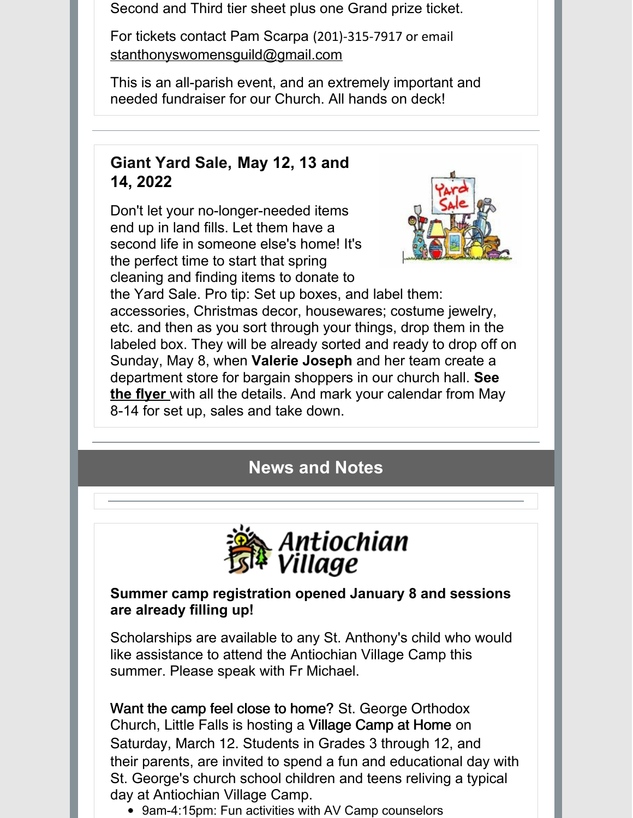Second and Third tier sheet plus one Grand prize ticket.

For tickets contact Pam Scarpa (201)-315-7917 or email [stanthonyswomensguild@gmail.com](mailto:stanthonyswomensguild@gmail.com)

This is an all-parish event, and an extremely important and needed fundraiser for our Church. All hands on deck!

## **Giant Yard Sale, May 12, 13 and 14, 2022**

Don't let your no-longer-needed items end up in land fills. Let them have a second life in someone else's home! It's the perfect time to start that spring cleaning and finding items to donate to



the Yard Sale. Pro tip: Set up boxes, and label them: accessories, Christmas decor, housewares; costume jewelry, etc. and then as you sort through your things, drop them in the labeled box. They will be already sorted and ready to drop off on Sunday, May 8, when **Valerie Joseph** and her team create a department store for bargain shoppers in our church hall. **See the [flyer](https://files.constantcontact.com/e603b90b001/d06de38d-82ee-47bb-bd78-8011baf44f7a.pdf)** with all the details. And mark your calendar from May 8-14 for set up, sales and take down.

# **News and Notes**



## **Summer camp registration opened January 8 and sessions are already filling up!**

Scholarships are available to any St. Anthony's child who would like assistance to attend the Antiochian Village Camp this summer. Please speak with Fr Michael.

Want the camp feel close to home? St. George Orthodox Church, Little Falls is hosting a Village Camp at Home on Saturday, March 12. Students in Grades 3 through 12, and their parents, are invited to spend a fun and educational day with St. George's church school children and teens reliving a typical day at Antiochian Village Camp.

9am-4:15pm: Fun activities with AV Camp counselors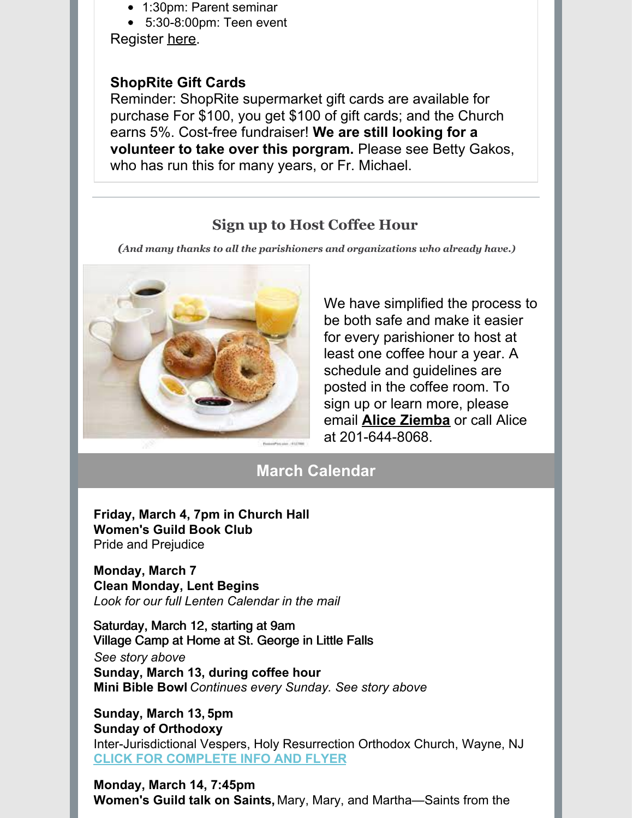- 1:30pm: Parent seminar
- 5:30-8:00pm: Teen event Register [here](https://stgeorgenj.ccbchurch.com/goto/forms/44/responses/new).

### **ShopRite Gift Cards**

Reminder: ShopRite supermarket gift cards are available for purchase For \$100, you get \$100 of gift cards; and the Church earns 5%. Cost-free fundraiser! **We are still looking for a volunteer to take over this porgram.** Please see Betty Gakos, who has run this for many years, or Fr. Michael.

## **Sign up to Host Coffee Hour**

*(And many thanks to all the parishioners and organizations who already have.)*



We have simplified the process to be both safe and make it easier for every parishioner to host at least one coffee hour a year. A schedule and guidelines are posted in the coffee room. To sign up or learn more, please email **Alice [Ziemba](mailto:aliceziemba@yahoo.com)** or call Alice at 201-644-8068.

## **March Calendar**

**Friday, March 4, 7pm in Church Hall Women's Guild Book Club** Pride and Prejudice

**Monday, March 7 Clean Monday, Lent Begins** *Look for our full Lenten Calendar in the mail*

Saturday, March 12, starting at 9am Village Camp at Home at St. George in Little Falls *See story above* **Sunday, March 13, during coffee hour Mini Bible Bowl** *Continues every Sunday. See story above*

**Sunday, March 13, 5pm Sunday of Orthodoxy** Inter-Jurisdictional Vespers, Holy Resurrection Orthodox Church, Wayne, NJ **CLICK FOR [COMPLETE](https://files.constantcontact.com/e603b90b001/3ca8a543-7f10-417f-81c7-7d1960a80dcd.pdf) INFO AND FLYER**

**Monday, March 14, 7:45pm Women's Guild talk on Saints,** Mary, Mary, and Martha—Saints from the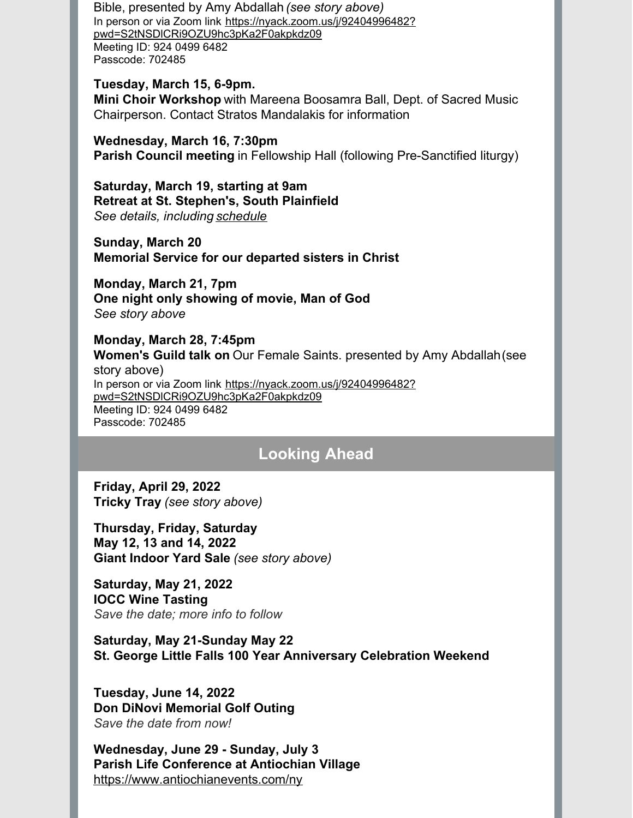Bible, presented by Amy Abdallah *(see story above)* In person or via Zoom link https://nyack.zoom.us/j/92404996482? [pwd=S2tNSDlCRi9OZU9hc3pKa2F0akpkdz09](https://nyack.zoom.us/j/92404996482?pwd=S2tNSDlCRi9OZU9hc3pKa2F0akpkdz09) Meeting ID: 924 0499 6482 Passcode: 702485

#### **Tuesday, March 15, 6-9pm.**

**Mini Choir Workshop** with Mareena Boosamra Ball, Dept. of Sacred Music Chairperson. Contact Stratos Mandalakis for information

**Wednesday, March 16, 7:30pm Parish Council meeting** in Fellowship Hall (following Pre-Sanctified liturgy)

**Saturday, March 19, starting at 9am Retreat at St. Stephen's, South Plainfield** *See details, including [schedule](https://files.constantcontact.com/e603b90b001/f16b1223-274e-42c2-a675-265a69143532.pdf)*

**Sunday, March 20 Memorial Service for our departed sisters in Christ**

**Monday, March 21, 7pm One night only showing of movie, Man of God** *See story above*

#### **Monday, March 28, 7:45pm**

**Women's Guild talk on** Our Female Saints. presented by Amy Abdallah(see story above) In person or via Zoom link https://nyack.zoom.us/j/92404996482? [pwd=S2tNSDlCRi9OZU9hc3pKa2F0akpkdz09](https://nyack.zoom.us/j/92404996482?pwd=S2tNSDlCRi9OZU9hc3pKa2F0akpkdz09) Meeting ID: 924 0499 6482 Passcode: 702485

## **Looking Ahead**

**Friday, April 29, 2022 Tricky Tray** *(see story above)*

**Thursday, Friday, Saturday May 12, 13 and 14, 2022 Giant Indoor Yard Sale** *(see story above)*

**Saturday, May 21, 2022 IOCC Wine Tasting** *Save the date; more info to follow*

**Saturday, May 21-Sunday May 22 St. George Little Falls 100 Year Anniversary Celebration Weekend**

**Tuesday, June 14, 2022 Don DiNovi Memorial Golf Outing** *Save the date from now!*

**Wednesday, June 29 - Sunday, July 3 Parish Life Conference at Antiochian Village** <https://www.antiochianevents.com/ny>